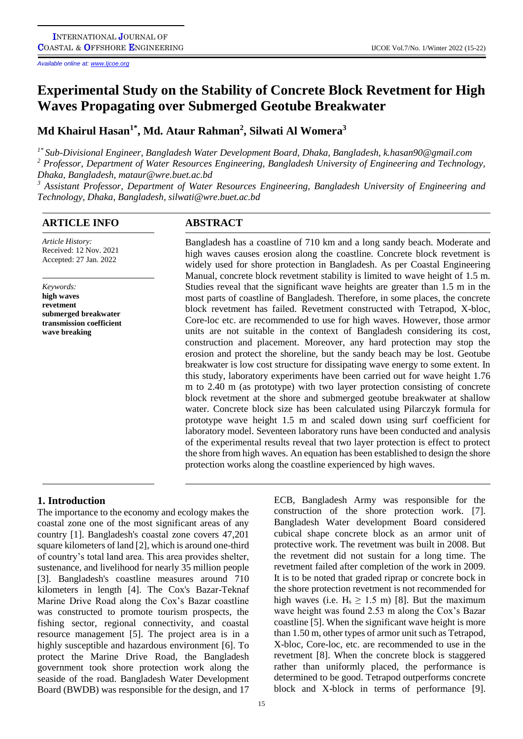*Available online at[: www.Ijcoe.org](http://www.ijcoe.org/)*

# **Experimental Study on the Stability of Concrete Block Revetment for High Waves Propagating over Submerged Geotube Breakwater**

**Md Khairul Hasan1\* , Md. Ataur Rahman<sup>2</sup> , Silwati Al Womera<sup>3</sup>**

*1\* Sub-Divisional Engineer, Bangladesh Water Development Board, Dhaka, Bangladesh, k.hasan90@gmail.com*

*<sup>2</sup> Professor, Department of Water Resources Engineering, Bangladesh University of Engineering and Technology, Dhaka, Bangladesh, mataur@wre.buet.ac.bd* 

*<sup>3</sup> Assistant Professor, Department of Water Resources Engineering, Bangladesh University of Engineering and Technology, Dhaka, Bangladesh, silwati@wre.buet.ac.bd*

## **ARTICLE INFO ABSTRACT**

*Article History:* Received: 12 Nov. 2021 Accepted: 27 Jan. 2022

*Keywords:* **high waves revetment submerged breakwater transmission coefficient wave breaking**

Bangladesh has a coastline of 710 km and a long sandy beach. Moderate and high waves causes erosion along the coastline. Concrete block revetment is widely used for shore protection in Bangladesh. As per Coastal Engineering Manual, concrete block revetment stability is limited to wave height of 1.5 m. Studies reveal that the significant wave heights are greater than 1.5 m in the most parts of coastline of Bangladesh. Therefore, in some places, the concrete block revetment has failed. Revetment constructed with Tetrapod, X-bloc, Core-loc etc. are recommended to use for high waves. However, those armor units are not suitable in the context of Bangladesh considering its cost, construction and placement. Moreover, any hard protection may stop the erosion and protect the shoreline, but the sandy beach may be lost. Geotube breakwater is low cost structure for dissipating wave energy to some extent. In this study, laboratory experiments have been carried out for wave height 1.76 m to 2.40 m (as prototype) with two layer protection consisting of concrete block revetment at the shore and submerged geotube breakwater at shallow water. Concrete block size has been calculated using Pilarczyk formula for prototype wave height 1.5 m and scaled down using surf coefficient for laboratory model. Seventeen laboratory runs have been conducted and analysis of the experimental results reveal that two layer protection is effect to protect the shore from high waves. An equation has been established to design the shore protection works along the coastline experienced by high waves.

# **1. Introduction**

The importance to the economy and ecology makes the coastal zone one of the most significant areas of any country [1]. Bangladesh's coastal zone covers 47,201 square kilometers of land [2], which is around one-third of country's total land area. This area provides shelter, sustenance, and livelihood for nearly 35 million people [3]. Bangladesh's coastline measures around 710 kilometers in length [4]. The Cox's Bazar-Teknaf Marine Drive Road along the Cox's Bazar coastline was constructed to promote tourism prospects, the fishing sector, regional connectivity, and coastal resource management [5]. The project area is in a highly susceptible and hazardous environment [6]. To protect the Marine Drive Road, the Bangladesh government took shore protection work along the seaside of the road. Bangladesh Water Development Board (BWDB) was responsible for the design, and 17

15

ECB, Bangladesh Army was responsible for the construction of the shore protection work. [7]. Bangladesh Water development Board considered cubical shape concrete block as an armor unit of protective work. The revetment was built in 2008. But the revetment did not sustain for a long time. The revetment failed after completion of the work in 2009. It is to be noted that graded riprap or concrete bock in the shore protection revetment is not recommended for high waves (i.e.  $H_s \ge 1.5$  m) [8]. But the maximum wave height was found 2.53 m along the Cox's Bazar coastline [5]. When the significant wave height is more than 1.50 m, other types of armor unit such as Tetrapod, X-bloc, Core-loc, etc. are recommended to use in the revetment [8]. When the concrete block is staggered rather than uniformly placed, the performance is determined to be good. Tetrapod outperforms concrete block and X-block in terms of performance [9].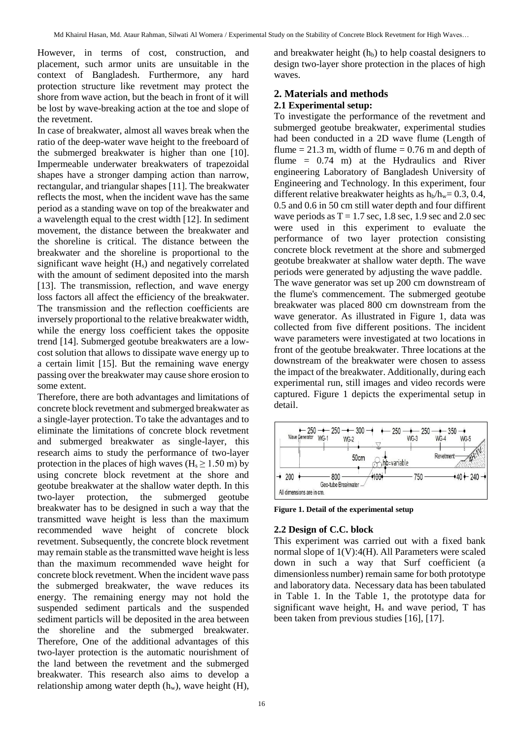However, in terms of cost, construction, and placement, such armor units are unsuitable in the context of Bangladesh. Furthermore, any hard protection structure like revetment may protect the shore from wave action, but the beach in front of it will be lost by wave-breaking action at the toe and slope of the revetment.

In case of breakwater, almost all waves break when the ratio of the deep-water wave height to the freeboard of the submerged breakwater is higher than one [10]. Impermeable underwater breakwaters of trapezoidal shapes have a stronger damping action than narrow, rectangular, and triangular shapes [11]. The breakwater reflects the most, when the incident wave has the same period as a standing wave on top of the breakwater and a wavelength equal to the crest width [12]. In sediment movement, the distance between the breakwater and the shoreline is critical. The distance between the breakwater and the shoreline is proportional to the significant wave height (H<sub>s</sub>) and negatively correlated with the amount of sediment deposited into the marsh [13]. The transmission, reflection, and wave energy loss factors all affect the efficiency of the breakwater. The transmission and the reflection coefficients are inversely proportional to the relative breakwater width, while the energy loss coefficient takes the opposite trend [14]. Submerged geotube breakwaters are a lowcost solution that allows to dissipate wave energy up to a certain limit [15]. But the remaining wave energy passing over the breakwater may cause shore erosion to some extent.

Therefore, there are both advantages and limitations of concrete block revetment and submerged breakwater as a single-layer protection. To take the advantages and to eliminate the limitations of concrete block revetment and submerged breakwater as single-layer, this research aims to study the performance of two-layer protection in the places of high waves ( $H_s \ge 1.50$  m) by using concrete block revetment at the shore and geotube breakwater at the shallow water depth. In this two-layer protection, the submerged geotube breakwater has to be designed in such a way that the transmitted wave height is less than the maximum recommended wave height of concrete block revetment. Subsequently, the concrete block revetment may remain stable as the transmitted wave height is less than the maximum recommended wave height for concrete block revetment. When the incident wave pass the submerged breakwater, the wave reduces its energy. The remaining energy may not hold the suspended sediment particals and the suspended sediment particls will be deposited in the area between the shoreline and the submerged breakwater. Therefore, One of the additional advantages of this two-layer protection is the automatic nourishment of the land between the revetment and the submerged breakwater. This research also aims to develop a relationship among water depth  $(h_w)$ , wave height  $(H)$ ,

and breakwater height  $(h_b)$  to help coastal designers to design two-layer shore protection in the places of high waves.

# **2. Materials and methods**

### **2.1 Experimental setup:**

To investigate the performance of the revetment and submerged geotube breakwater, experimental studies had been conducted in a 2D wave flume (Length of flume  $= 21.3$  m, width of flume  $= 0.76$  m and depth of flume  $= 0.74$  m) at the Hydraulics and River engineering Laboratory of Bangladesh University of Engineering and Technology. In this experiment, four different relative breakwater heights as  $h_b/h_w= 0.3, 0.4,$ 0.5 and 0.6 in 50 cm still water depth and four diffirent wave periods as  $T = 1.7$  sec, 1.8 sec, 1.9 sec and 2.0 sec were used in this experiment to evaluate the performance of two layer protection consisting concrete block revetment at the shore and submerged geotube breakwater at shallow water depth. The wave periods were generated by adjusting the wave paddle.

The wave generator was set up 200 cm downstream of the flume's commencement. The submerged geotube breakwater was placed 800 cm downstream from the wave generator. As illustrated in Figure 1, data was collected from five different positions. The incident wave parameters were investigated at two locations in front of the geotube breakwater. Three locations at the downstream of the breakwater were chosen to assess the impact of the breakwater. Additionally, during each experimental run, still images and video records were captured. Figure 1 depicts the experimental setup in detail.



**Figure 1. Detail of the experimental setup**

### **2.2 Design of C.C. block**

This experiment was carried out with a fixed bank normal slope of 1(V):4(H). All Parameters were scaled down in such a way that Surf coefficient (a dimensionless number) remain same for both prototype and laboratory data. Necessary data has been tabulated in Table 1. In the Table 1, the prototype data for significant wave height,  $H_s$  and wave period, T has been taken from previous studies [16], [17].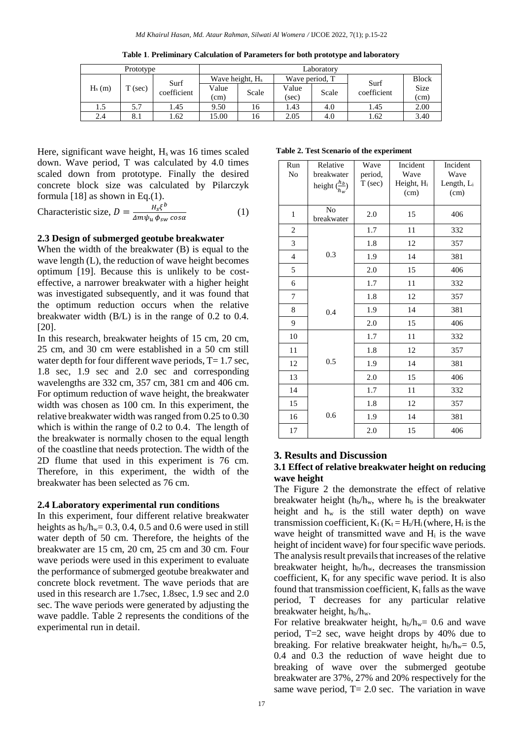| Prototype |           |                     | Laboratorv                  |       |                |             |             |              |
|-----------|-----------|---------------------|-----------------------------|-------|----------------|-------------|-------------|--------------|
| $H_s(m)$  | $T$ (sec) | Surf<br>coefficient | Wave height, H <sub>s</sub> |       | Wave period, T |             | Surf        | <b>Block</b> |
|           |           |                     | Value<br>Scale              | Value | Scale          | coefficient | <b>Size</b> |              |
|           |           |                     | (cm)                        |       | (sec)          |             |             | (cm)         |
| 1.5       | 5.7       | l .45               | 9.50                        | 16    | 1.43           | 4.0         | 1.45        | 2.00         |
| 2.4       | 8.1       | .62                 | 15.00                       | 16    | 2.05           | 4.0         | 1.62        | 3.40         |

**Table 1**. **Preliminary Calculation of Parameters for both prototype and laboratory**

Here, significant wave height,  $H<sub>s</sub>$  was 16 times scaled down. Wave period, T was calculated by 4.0 times scaled down from prototype. Finally the desired concrete block size was calculated by Pilarczyk formula [18] as shown in Eq.(1).

Characteristic size, 
$$
D = \frac{H_s \xi^b}{\Delta m \psi_u \phi_{sw} \cos \alpha}
$$
 (1)

#### **2.3 Design of submerged geotube breakwater**

When the width of the breakwater (B) is equal to the wave length (L), the reduction of wave height becomes optimum [19]. Because this is unlikely to be costeffective, a narrower breakwater with a higher height was investigated subsequently, and it was found that the optimum reduction occurs when the relative breakwater width (B/L) is in the range of 0.2 to 0.4. [20].

In this research, breakwater heights of 15 cm, 20 cm, 25 cm, and 30 cm were established in a 50 cm still water depth for four different wave periods,  $T=1.7$  sec, 1.8 sec, 1.9 sec and 2.0 sec and corresponding wavelengths are 332 cm, 357 cm, 381 cm and 406 cm. For optimum reduction of wave height, the breakwater width was chosen as 100 cm. In this experiment, the relative breakwater width was ranged from 0.25 to 0.30 which is within the range of 0.2 to 0.4. The length of the breakwater is normally chosen to the equal length of the coastline that needs protection. The width of the 2D flume that used in this experiment is 76 cm. Therefore, in this experiment, the width of the breakwater has been selected as 76 cm.

#### **2.4 Laboratory experimental run conditions**

In this experiment, four different relative breakwater heights as  $h_b/h_w = 0.3$ , 0.4, 0.5 and 0.6 were used in still water depth of 50 cm. Therefore, the heights of the breakwater are 15 cm, 20 cm, 25 cm and 30 cm. Four wave periods were used in this experiment to evaluate the performance of submerged geotube breakwater and concrete block revetment. The wave periods that are used in this research are 1.7sec, 1.8sec, 1.9 sec and 2.0 sec. The wave periods were generated by adjusting the wave paddle. Table 2 represents the conditions of the experimental run in detail.

**Table 2. Test Scenario of the experiment**

| Run<br>N <sub>o</sub> | Relative<br>breakwater<br>height $\left(\frac{h_b}{h_w}\right)$ | Wave<br>period,<br>$T$ (sec) | Incident<br>Wave<br>Height, Hi<br>(cm) | Incident<br>Wave<br>Length, Li<br>(cm) |
|-----------------------|-----------------------------------------------------------------|------------------------------|----------------------------------------|----------------------------------------|
| $\mathbf{1}$          | N <sub>o</sub><br>breakwater                                    | 2.0                          | 15                                     | 406                                    |
| $\overline{c}$        |                                                                 | 1.7                          | 11                                     | 332                                    |
| 3                     |                                                                 | 1.8                          | 12                                     | 357                                    |
| $\overline{4}$        | 0.3                                                             | 1.9                          | 14                                     | 381                                    |
| 5                     |                                                                 | 2.0                          | 15                                     | 406                                    |
| 6                     |                                                                 | 1.7                          | 11                                     | 332                                    |
| 7                     |                                                                 | 1.8                          | 12                                     | 357                                    |
| 8                     | 0.4                                                             | 1.9                          | 14                                     | 381                                    |
| 9                     |                                                                 | 2.0                          | 15                                     | 406                                    |
| 10                    |                                                                 | 1.7                          | 11                                     | 332                                    |
| 11                    |                                                                 | 1.8                          | 12                                     | 357                                    |
| 12                    | 0.5                                                             | 1.9                          | 14                                     | 381                                    |
| 13                    |                                                                 | 2.0                          | 15                                     | 406                                    |
| 14                    |                                                                 | 1.7                          | 11                                     | 332                                    |
| 15                    |                                                                 | 1.8                          | 12                                     | 357                                    |
| 16                    | 0.6                                                             | 1.9                          | 14                                     | 381                                    |
| 17                    |                                                                 | 2.0                          | 15                                     | 406                                    |

#### **3. Results and Discussion**

#### **3.1 Effect of relative breakwater height on reducing wave height**

The Figure 2 the demonstrate the effect of relative breakwater height ( $h_b/h_w$ , where  $h_b$  is the breakwater height and  $h_w$  is the still water depth) on wave transmission coefficient,  $K_t$  ( $K_t = H_t/H_i$  (where,  $H_t$  is the wave height of transmitted wave and H<sub>i</sub> is the wave height of incident wave) for four specific wave periods. The analysis result prevails that increases of the relative breakwater height,  $h_b/h_w$ , decreases the transmission coefficient,  $K_t$  for any specific wave period. It is also found that transmission coefficient,  $K_t$  falls as the wave period, T decreases for any particular relative breakwater height,  $h_b/h_w$ .

For relative breakwater height,  $h_b/h_w = 0.6$  and wave period, T=2 sec, wave height drops by 40% due to breaking. For relative breakwater height,  $h_b/h_w = 0.5$ , 0.4 and 0.3 the reduction of wave height due to breaking of wave over the submerged geotube breakwater are 37%, 27% and 20% respectively for the same wave period,  $T = 2.0$  sec. The variation in wave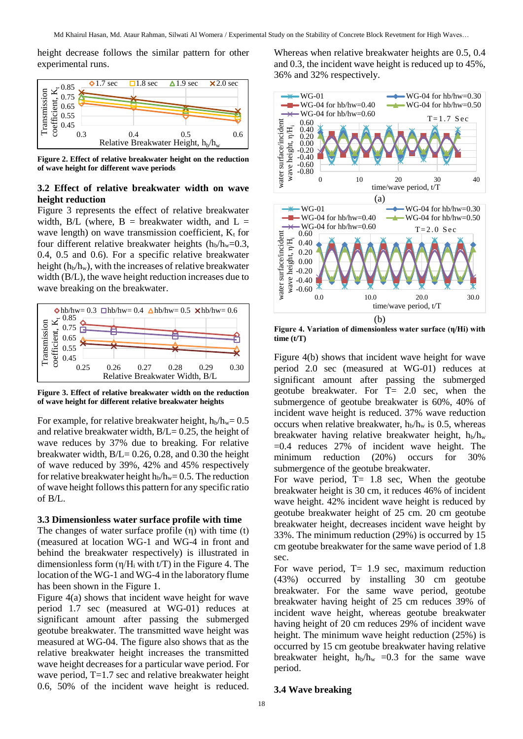height decrease follows the similar pattern for other experimental runs.



**Figure 2. Effect of relative breakwater height on the reduction of wave height for different wave periods**

#### **3.2 Effect of relative breakwater width on wave height reduction**

Figure 3 represents the effect of relative breakwater width,  $B/L$  (where,  $B =$  breakwater width, and  $L =$ wave length) on wave transmission coefficient,  $K_t$  for four different relative breakwater heights  $(h_b/h_w=0.3$ , 0.4, 0.5 and 0.6). For a specific relative breakwater height  $(h_b/h_w)$ , with the increases of relative breakwater width (B/L), the wave height reduction increases due to wave breaking on the breakwater.



**Figure 3. Effect of relative breakwater width on the reduction of wave height for different relative breakwater heights**

For example, for relative breakwater height,  $h_b/h_w= 0.5$ and relative breakwater width,  $B/L = 0.25$ , the height of wave reduces by 37% due to breaking. For relative breakwater width,  $B/L = 0.26$ , 0.28, and 0.30 the height of wave reduced by 39%, 42% and 45% respectively for relative breakwater height  $h_b/h_w = 0.5$ . The reduction of wave height follows this pattern for any specific ratio of B/L.

#### **3.3 Dimensionless water surface profile with time**

The changes of water surface profile (η) with time (t) (measured at location WG-1 and WG-4 in front and behind the breakwater respectively) is illustrated in dimensionless form  $(\eta/H_i \text{ with } t/T)$  in the Figure 4. The location of the WG-1 and WG-4 in the laboratory flume has been shown in the Figure 1.

Figure 4(a) shows that incident wave height for wave period 1.7 sec (measured at WG-01) reduces at significant amount after passing the submerged geotube breakwater. The transmitted wave height was measured at WG-04. The figure also shows that as the relative breakwater height increases the transmitted wave height decreases for a particular wave period. For wave period, T=1.7 sec and relative breakwater height 0.6, 50% of the incident wave height is reduced.

Whereas when relative breakwater heights are 0.5, 0.4 and 0.3, the incident wave height is reduced up to 45%, 36% and 32% respectively.



**Figure 4. Variation of dimensionless water surface (η/Hi) with time (t/T)**

Figure 4(b) shows that incident wave height for wave period 2.0 sec (measured at WG-01) reduces at significant amount after passing the submerged geotube breakwater. For T= 2.0 sec, when the submergence of geotube breakwater is 60%, 40% of incident wave height is reduced. 37% wave reduction occurs when relative breakwater,  $h_b/h_w$  is 0.5, whereas breakwater having relative breakwater height,  $h_b/h_w$ =0.4 reduces 27% of incident wave height. The minimum reduction (20%) occurs for 30% submergence of the geotube breakwater.

For wave period,  $T = 1.8$  sec, When the geotube breakwater height is 30 cm, it reduces 46% of incident wave height. 42% incident wave height is reduced by geotube breakwater height of 25 cm. 20 cm geotube breakwater height, decreases incident wave height by 33%. The minimum reduction (29%) is occurred by 15 cm geotube breakwater for the same wave period of 1.8 sec.

For wave period,  $T = 1.9$  sec, maximum reduction (43%) occurred by installing 30 cm geotube breakwater. For the same wave period, geotube breakwater having height of 25 cm reduces 39% of incident wave height, whereas geotube breakwater having height of 20 cm reduces 29% of incident wave height. The minimum wave height reduction (25%) is occurred by 15 cm geotube breakwater having relative breakwater height,  $h_b/h_w = 0.3$  for the same wave period.

#### **3.4 Wave breaking**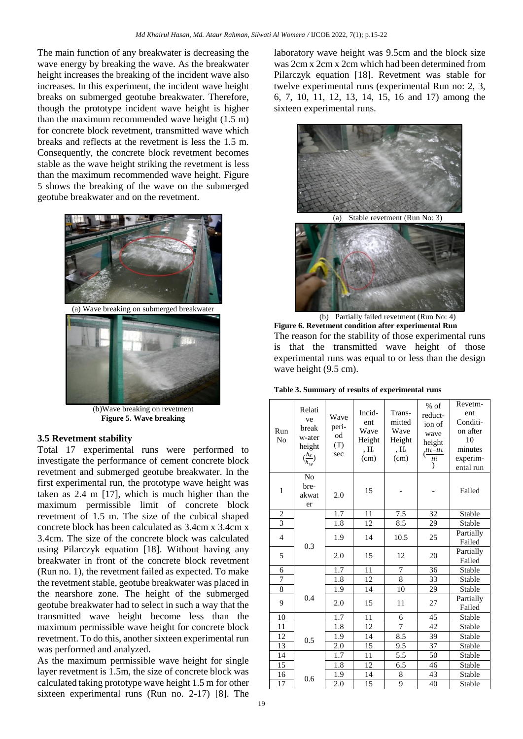The main function of any breakwater is decreasing the wave energy by breaking the wave. As the breakwater height increases the breaking of the incident wave also increases. In this experiment, the incident wave height breaks on submerged geotube breakwater. Therefore, though the prototype incident wave height is higher than the maximum recommended wave height (1.5 m) for concrete block revetment, transmitted wave which breaks and reflects at the revetment is less the 1.5 m. Consequently, the concrete block revetment becomes stable as the wave height striking the revetment is less than the maximum recommended wave height. Figure 5 shows the breaking of the wave on the submerged geotube breakwater and on the revetment.



(a) Wave breaking on submerged breakwater



(b)Wave breaking on revetment **Figure 5. Wave breaking**

#### **3.5 Revetment stability**

Total 17 experimental runs were performed to investigate the performance of cement concrete block revetment and submerged geotube breakwater. In the first experimental run, the prototype wave height was taken as 2.4 m [17], which is much higher than the maximum permissible limit of concrete block revetment of 1.5 m. The size of the cubical shaped concrete block has been calculated as 3.4cm x 3.4cm x 3.4cm. The size of the concrete block was calculated using Pilarczyk equation [18]. Without having any breakwater in front of the concrete block revetment (Run no. 1), the revetment failed as expected. To make the revetment stable, geotube breakwater was placed in the nearshore zone. The height of the submerged geotube breakwater had to select in such a way that the transmitted wave height become less than the maximum permissible wave height for concrete block revetment. To do this, another sixteen experimental run was performed and analyzed.

As the maximum permissible wave height for single layer revetment is 1.5m, the size of concrete block was calculated taking prototype wave height 1.5 m for other sixteen experimental runs (Run no. 2-17) [8]. The laboratory wave height was 9.5cm and the block size was 2cm x 2cm x 2cm which had been determined from Pilarczyk equation [18]. Revetment was stable for twelve experimental runs (experimental Run no: 2, 3, 6, 7, 10, 11, 12, 13, 14, 15, 16 and 17) among the sixteen experimental runs.



(a) Stable revetment (Run No: 3)



(b) Partially failed revetment (Run No: 4) **Figure 6. Revetment condition after experimental Run**

The reason for the stability of those experimental runs is that the transmitted wave height of those experimental runs was equal to or less than the design wave height  $(9.5 \text{ cm})$ .

**Table 3. Summary of results of experimental runs**

| Run<br>N <sub>0</sub> | Relati<br>ve<br>break<br>w-ater<br>height<br>$\left(\frac{h_s}{h_w}\right)$ | Wave<br>peri-<br>od<br>(T)<br>sec | Incid-<br>ent<br>Wave<br>Height<br>, $H_i$<br>(cm) | Trans-<br>mitted<br>Wave<br>Height<br>, $H_t$<br>(cm) | $%$ of<br>reduct-<br>ion of<br>wave<br>height<br>$\frac{Hi-Ht}{Hi}$<br>$\mathcal{L}$ | Revetm-<br>ent<br>Conditi-<br>on after<br>10<br>minutes<br>experim-<br>ental run |
|-----------------------|-----------------------------------------------------------------------------|-----------------------------------|----------------------------------------------------|-------------------------------------------------------|--------------------------------------------------------------------------------------|----------------------------------------------------------------------------------|
| $\mathbf{1}$          | N <sub>o</sub><br>bre-<br>akwat<br>er                                       | 2.0                               | 15                                                 |                                                       |                                                                                      | Failed                                                                           |
| $\overline{2}$        |                                                                             | 1.7                               | 11                                                 | 7.5                                                   | 32                                                                                   | Stable                                                                           |
| $\overline{3}$        |                                                                             | 1.8                               | 12                                                 | 8.5                                                   | 29                                                                                   | Stable                                                                           |
| $\overline{4}$        | 0.3                                                                         | 1.9                               | 14                                                 | 10.5                                                  | 25                                                                                   | Partially<br>Failed                                                              |
| 5                     |                                                                             | 2.0                               | 15                                                 | 12                                                    | 20                                                                                   | Partially<br>Failed                                                              |
| 6                     |                                                                             | 1.7                               | 11                                                 | 7                                                     | 36                                                                                   | Stable                                                                           |
| 7                     |                                                                             | 1.8                               | 12                                                 | 8                                                     | 33                                                                                   | Stable                                                                           |
| $\overline{8}$        |                                                                             | 1.9                               | 14                                                 | 10                                                    | 29                                                                                   | Stable                                                                           |
| 9                     | 0.4                                                                         | 2.0                               | 15                                                 | 11                                                    | 27                                                                                   | Partially<br>Failed                                                              |
| 10                    |                                                                             | 1.7                               | 11                                                 | 6                                                     | 45                                                                                   | Stable                                                                           |
| 11                    |                                                                             | $\overline{1.8}$                  | 12                                                 | 7                                                     | 42                                                                                   | Stable                                                                           |
| 12                    | 0.5                                                                         | 1.9                               | 14                                                 | 8.5                                                   | 39                                                                                   | Stable                                                                           |
| 13                    |                                                                             | 2.0                               | $\overline{15}$                                    | $\overline{9.5}$                                      | 37                                                                                   | Stable                                                                           |
| 14                    |                                                                             | 1.7                               | 11                                                 | 5.5                                                   | 50                                                                                   | Stable                                                                           |
| 15                    |                                                                             | 1.8                               | 12                                                 | 6.5                                                   | 46                                                                                   | Stable                                                                           |
| 16                    | 0.6                                                                         | 1.9                               | 14                                                 | 8                                                     | 43                                                                                   | Stable                                                                           |
| 17                    |                                                                             | 2.0                               | 15                                                 | 9                                                     | 40                                                                                   | Stable                                                                           |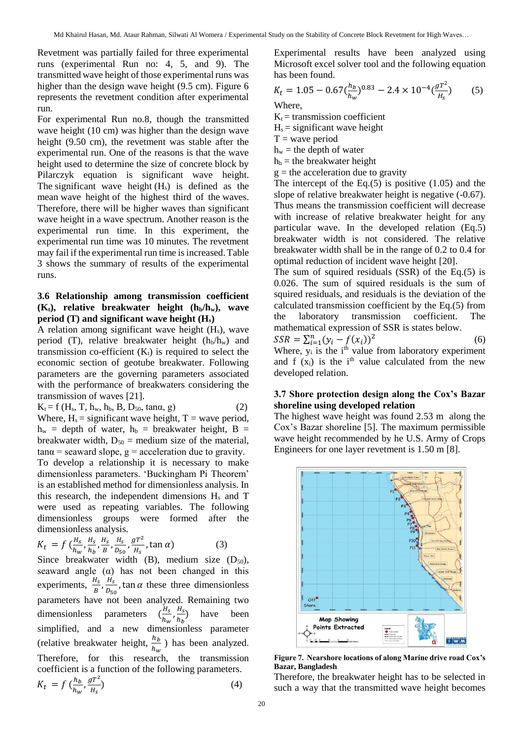Revetment was partially failed for three experimental runs (experimental Run no: 4, 5, and 9). The transmitted wave height of those experimental runs was higher than the design wave height (9.5 cm). Figure 6 represents the revetment condition after experimental run.

For experimental Run no.8, though the transmitted wave height (10 cm) was higher than the design wave height (9.50 cm), the revetment was stable after the experimental run. One of the reasons is that the wave height used to determine the size of concrete block by Pilarczyk equation is significant wave height. The significant wave height  $(H_s)$  is defined as the mean [wave height](https://en.wikipedia.org/wiki/Wave_height) of the highest third of the [waves.](https://en.wikipedia.org/wiki/Ocean_surface_wave) Therefore, there will be higher waves than significant wave height in a wave spectrum. Another reason is the experimental run time. In this experiment, the experimental run time was 10 minutes. The revetment may fail if the experimental run time is increased. Table 3 shows the summary of results of the experimental runs.

#### **3.6 Relationship among transmission coefficient**   $(K_t)$ , relative breakwater height  $(h_b/h_w)$ , wave **period (T) and significant wave height (Hs)**

A relation among significant wave height  $(H_s)$ , wave period (T), relative breakwater height  $(h_b/h_w)$  and transmission co-efficient  $(K_t)$  is required to select the economic section of geotube breakwater. Following parameters are the governing parameters associated with the performance of breakwaters considering the transmission of waves [21].

 $K_t = f(H_s, T, h_w, h_b, B, D_{50}, \tan\alpha, g)$  (2) Where,  $H_s =$  significant wave height,  $T =$  wave period,  $h_w$  = depth of water,  $h_b$  = breakwater height, B = breakwater width,  $D_{50}$  = medium size of the material,  $tan\alpha$  = seaward slope,  $g$  = acceleration due to gravity.

To develop a relationship it is necessary to make dimensionless parameters. 'Buckingham Pi Theorem' is an established method for dimensionless analysis. In this research, the independent dimensions  $H_s$  and T were used as repeating variables. The following dimensionless groups were formed after the dimensionless analysis.

$$
K_t = f\left(\frac{H_s}{h_w}, \frac{H_s}{h_b}, \frac{H_s}{B}, \frac{H_s}{D_{50}}, \frac{gT^2}{H_s}, \tan \alpha\right)
$$
 (3)

Since breakwater width  $(B)$ , medium size  $(D_{50})$ , seaward angle  $(\alpha)$  has not been changed in this experiments,  $\frac{H_s}{B}$ ,  $\frac{H_s}{D_{50}}$  $\frac{n_s}{D_{50}}$ , tan  $\alpha$  these three dimensionless parameters have not been analyzed. Remaining two dimensionless parameters  $\left(\frac{H_s}{h}\right)$  $\frac{H_s}{h_w}, \frac{H_s}{h_b}$  $\frac{H_S}{h_b}$  have been simplified, and a new dimensionless parameter (relative breakwater height,  $\frac{h_b}{h_w}$ ) has been analyzed. Therefore, for this research, the transmission coefficient is a function of the following parameters.  $K_t = f\left(\frac{h_b}{h}\right)$  $\frac{h_b}{h_w}, \frac{gT^2}{H_s}$  $H_{\rm S}$  $\qquad \qquad (4)$ 

Experimental results have been analyzed using Microsoft excel solver tool and the following equation has been found.

$$
K_t = 1.05 - 0.67 \left(\frac{h_b}{h_w}\right)^{0.83} - 2.4 \times 10^{-4} \left(\frac{gT^2}{H_s}\right) \tag{5}
$$

Where,

 $K_t$  = transmission coefficient

 $H<sub>s</sub> =$  significant wave height

- $T =$  wave period
- $h_w$  = the depth of water
- $h_b$  = the breakwater height
- $g$  = the acceleration due to gravity

The intercept of the Eq. $(5)$  is positive  $(1.05)$  and the slope of relative breakwater height is negative (-0.67). Thus means the transmission coefficient will decrease with increase of relative breakwater height for any particular wave. In the developed relation (Eq.5) breakwater width is not considered. The relative breakwater width shall be in the range of 0.2 to 0.4 for optimal reduction of incident wave height [20].

The sum of squired residuals (SSR) of the Eq.(5) is 0.026. The sum of squired residuals is the sum of squired residuals, and residuals is the deviation of the calculated transmission coefficient by the Eq.(5) from the laboratory transmission coefficient. The mathematical expression of SSR is states below.

$$
SSR = \sum_{i=1}^{n} (y_i - f(x_i))^2
$$
 (6)  
Where *y* is the *i*th value from the  
vector *y* experiment

Where,  $y_i$  is the  $i<sup>th</sup>$  value from laboratory experiment and f  $(x_i)$  is the i<sup>th</sup> value calculated from the new developed relation.

### **3.7 Shore protection design along the Cox's Bazar shoreline using developed relation**

The highest wave height was found 2.53 m along the Cox's Bazar shoreline [5]. The maximum permissible wave height recommended by he U.S. Army of Crops Engineers for one layer revetment is 1.50 m [8].



**Figure 7. Nearshore locations of along Marine drive road Cox's Bazar, Bangladesh** 

Therefore, the breakwater height has to be selected in such a way that the transmitted wave height becomes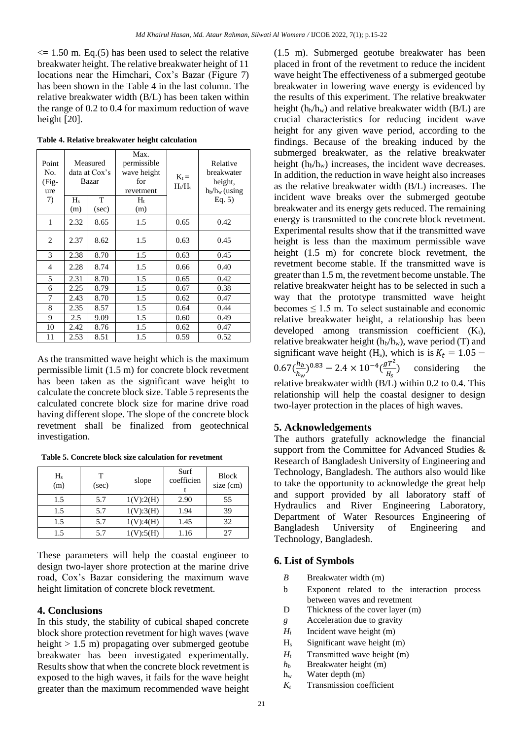$\epsilon$  = 1.50 m. Eq.(5) has been used to select the relative breakwater height. The relative breakwater height of 11 locations near the Himchari, Cox's Bazar (Figure 7) has been shown in the Table 4 in the last column. The relative breakwater width (B/L) has been taken within the range of 0.2 to 0.4 for maximum reduction of wave height [20].

| Point<br>No.<br>(Fig-<br>ure<br>7) | Measured<br>data at Cox's<br>Bazar<br>T<br>$H_s$ |       | Max.<br>permissible<br>wave height<br>for<br>revetment<br>$H_t$ | $K_t =$<br>$H_t/H_s$ | Relative<br>breakwater<br>height,<br>$h_b/h_w$ (using<br>Eq. $5)$ |
|------------------------------------|--------------------------------------------------|-------|-----------------------------------------------------------------|----------------------|-------------------------------------------------------------------|
|                                    | (m)                                              | (sec) | (m)                                                             |                      |                                                                   |
| 1                                  | 2.32                                             | 8.65  | 1.5                                                             | 0.65                 | 0.42                                                              |
| 2                                  | 2.37                                             | 8.62  | 1.5                                                             | 0.63                 | 0.45                                                              |
| 3                                  | 2.38                                             | 8.70  | 1.5                                                             | 0.63                 | 0.45                                                              |
| $\overline{4}$                     | 2.28                                             | 8.74  | 1.5                                                             | 0.66                 | 0.40                                                              |
| 5                                  | 2.31                                             | 8.70  | 1.5                                                             | 0.65                 | 0.42                                                              |
| 6                                  | 2.25                                             | 8.79  | 1.5                                                             | 0.67                 | 0.38                                                              |
| 7                                  | 2.43                                             | 8.70  | 1.5                                                             | 0.62                 | 0.47                                                              |
| 8                                  | 2.35                                             | 8.57  | 1.5                                                             | 0.64                 | 0.44                                                              |
| 9                                  | 2.5                                              | 9.09  | 1.5                                                             | 0.60                 | 0.49                                                              |
| 10                                 | 2.42<br>8.76                                     |       | 1.5                                                             | 0.62                 | 0.47                                                              |
| 11                                 | 2.53                                             | 8.51  | 1.5                                                             | 0.59                 | 0.52                                                              |

**Table 4. Relative breakwater height calculation**  $\top$ 

As the transmitted wave height which is the maximum permissible limit (1.5 m) for concrete block revetment has been taken as the significant wave height to calculate the concrete block size. Table 5 represents the calculated concrete block size for marine drive road having different slope. The slope of the concrete block revetment shall be finalized from geotechnical investigation.

 **Table 5. Concrete block size calculation for revetment**

| $H_s$<br>(m) | т<br>(sec) | slope     | Surf<br>coefficien | <b>Block</b><br>$size$ (cm) |
|--------------|------------|-----------|--------------------|-----------------------------|
| 1.5          | 5.7        | 1(V):2(H) | 2.90               | 55                          |
| 1.5          | 5.7        | 1(V):3(H) | 1.94               | 39                          |
| 1.5          | 5.7        | 1(V):4(H) | 1.45               | 32                          |
| 1.5          | 5.7        | $V$ :5(H) | 1.16               |                             |

These parameters will help the coastal engineer to design two-layer shore protection at the marine drive road, Cox's Bazar considering the maximum wave height limitation of concrete block revetment.

### **4. Conclusions**

In this study, the stability of cubical shaped concrete block shore protection revetment for high waves (wave height > 1.5 m) propagating over submerged geotube breakwater has been investigated experimentally. Results show that when the concrete block revetment is exposed to the high waves, it fails for the wave height greater than the maximum recommended wave height (1.5 m). Submerged geotube breakwater has been placed in front of the revetment to reduce the incident wave height The effectiveness of a submerged geotube breakwater in lowering wave energy is evidenced by the results of this experiment. The relative breakwater height ( $h_b/h_w$ ) and relative breakwater width ( $B/L$ ) are crucial characteristics for reducing incident wave height for any given wave period, according to the findings. Because of the breaking induced by the submerged breakwater, as the relative breakwater height  $(h_b/h_w)$  increases, the incident wave decreases. In addition, the reduction in wave height also increases as the relative breakwater width (B/L) increases. The incident wave breaks over the submerged geotube breakwater and its energy gets reduced. The remaining energy is transmitted to the concrete block revetment. Experimental results show that if the transmitted wave height is less than the maximum permissible wave height (1.5 m) for concrete block revetment, the revetment become stable. If the transmitted wave is greater than 1.5 m, the revetment become unstable. The relative breakwater height has to be selected in such a way that the prototype transmitted wave height becomes  $\leq 1.5$  m. To select sustainable and economic relative breakwater height, a relationship has been developed among transmission coefficient  $(K_t)$ , relative breakwater height  $(h_h/h_w)$ , wave period (T) and significant wave height (H<sub>s</sub>), which is is  $K_t = 1.05 0.67(\frac{h_b}{h})$  $\frac{h_b}{h_w}$ )<sup>0.83</sup> – 2.4 × 10<sup>-4</sup> $\left(\frac{gT^2}{H_s}\right)$  $\frac{dI}{H_s}$ ) considering the relative breakwater width (B/L) within 0.2 to 0.4. This relationship will help the coastal designer to design two-layer protection in the places of high waves.

### **5. Acknowledgements**

The authors gratefully acknowledge the financial support from the Committee for Advanced Studies & Research of Bangladesh University of Engineering and Technology, Bangladesh. The authors also would like to take the opportunity to acknowledge the great help and support provided by all laboratory staff of Hydraulics and River Engineering Laboratory, Department of Water Resources Engineering of Bangladesh University of Engineering and Technology, Bangladesh.

# **6. List of Symbols**

- *B* Breakwater width (m)
- b Exponent related to the interaction process between waves and revetment
- D Thickness of the cover layer (m)
- *g* Acceleration due to gravity
- $H_i$  Incident wave height (m)
- H<sup>s</sup> Significant wave height (m)
- $H_t$  Transmitted wave height (m)
- *h<sup>b</sup>* Breakwater height (m)
- h<sup>w</sup> Water depth (m)
- *K<sup>t</sup>* Transmission coefficient